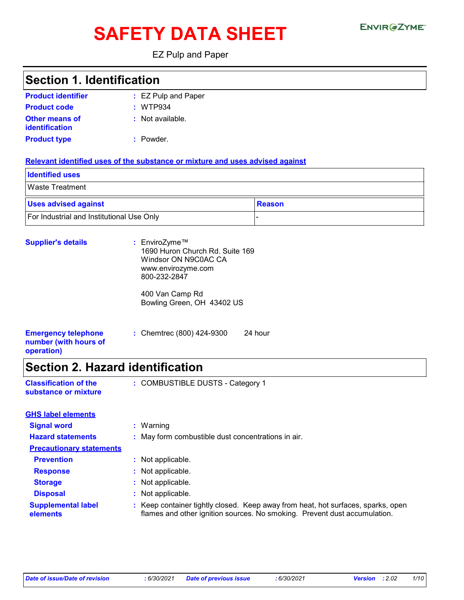# SAFETY DATA SHEET ENVIRGETMEN

EZ Pulp and Paper

### **Section 1. Identification**

| <b>Product identifier</b>               | : EZ Pulp and Paper |
|-----------------------------------------|---------------------|
| <b>Product code</b>                     | : WTP934            |
| <b>Other means of</b><br>identification | : Not available.    |
| <b>Product type</b>                     | : Powder.           |

#### **Relevant identified uses of the substance or mixture and uses advised against**

| <b>Identified uses</b>                    |        |
|-------------------------------------------|--------|
| <b>Waste Treatment</b>                    |        |
| <b>Uses advised against</b>               | Reason |
| For Industrial and Institutional Use Only |        |

| <b>Supplier's details</b>                                         | : EnviroZyme™<br>1690 Huron Church Rd. Suite 169<br>Windsor ON N9C0AC CA<br>www.envirozyme.com<br>800-232-2847 |         |
|-------------------------------------------------------------------|----------------------------------------------------------------------------------------------------------------|---------|
|                                                                   | 400 Van Camp Rd<br>Bowling Green, OH 43402 US                                                                  |         |
| <b>Emergency telephone</b><br>number (with hours of<br>operation) | : Chemtrec (800) 424-9300                                                                                      | 24 hour |

# **Section 2. Hazard identification**

| <b>Classification of the</b> | : COMBUSTIBLE DUSTS - Category 1 |
|------------------------------|----------------------------------|
| substance or mixture         |                                  |

| <b>GHS label elements</b>             |                                                                                                                                                               |
|---------------------------------------|---------------------------------------------------------------------------------------------------------------------------------------------------------------|
| <b>Signal word</b>                    | : Warning                                                                                                                                                     |
| <b>Hazard statements</b>              | : May form combustible dust concentrations in air.                                                                                                            |
| <b>Precautionary statements</b>       |                                                                                                                                                               |
| <b>Prevention</b>                     | : Not applicable.                                                                                                                                             |
| <b>Response</b>                       | : Not applicable.                                                                                                                                             |
| <b>Storage</b>                        | : Not applicable.                                                                                                                                             |
| <b>Disposal</b>                       | : Not applicable.                                                                                                                                             |
| <b>Supplemental label</b><br>elements | : Keep container tightly closed. Keep away from heat, hot surfaces, sparks, open<br>flames and other ignition sources. No smoking. Prevent dust accumulation. |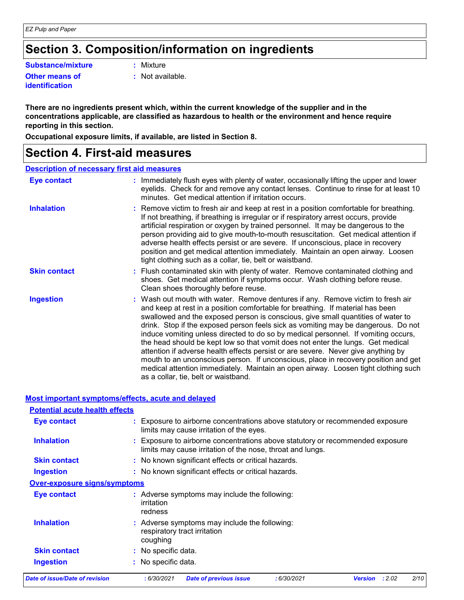### **Section 3. Composition/information on ingredients**

**Substance/mixture :**

**Other means of identification**

: Mixture

**:** Not available.

**There are no ingredients present which, within the current knowledge of the supplier and in the concentrations applicable, are classified as hazardous to health or the environment and hence require reporting in this section.**

**Occupational exposure limits, if available, are listed in Section 8.**

### **Section 4. First-aid measures**

#### **Description of necessary first aid measures**

| Eye contact         | : Immediately flush eyes with plenty of water, occasionally lifting the upper and lower<br>eyelids. Check for and remove any contact lenses. Continue to rinse for at least 10<br>minutes. Get medical attention if irritation occurs.                                                                                                                                                                                                                                                                                                                                                                                                                                                                                                                                                                                       |
|---------------------|------------------------------------------------------------------------------------------------------------------------------------------------------------------------------------------------------------------------------------------------------------------------------------------------------------------------------------------------------------------------------------------------------------------------------------------------------------------------------------------------------------------------------------------------------------------------------------------------------------------------------------------------------------------------------------------------------------------------------------------------------------------------------------------------------------------------------|
| <b>Inhalation</b>   | : Remove victim to fresh air and keep at rest in a position comfortable for breathing.<br>If not breathing, if breathing is irregular or if respiratory arrest occurs, provide<br>artificial respiration or oxygen by trained personnel. It may be dangerous to the<br>person providing aid to give mouth-to-mouth resuscitation. Get medical attention if<br>adverse health effects persist or are severe. If unconscious, place in recovery<br>position and get medical attention immediately. Maintain an open airway. Loosen<br>tight clothing such as a collar, tie, belt or waistband.                                                                                                                                                                                                                                 |
| <b>Skin contact</b> | : Flush contaminated skin with plenty of water. Remove contaminated clothing and<br>shoes. Get medical attention if symptoms occur. Wash clothing before reuse.<br>Clean shoes thoroughly before reuse.                                                                                                                                                                                                                                                                                                                                                                                                                                                                                                                                                                                                                      |
| <b>Ingestion</b>    | : Wash out mouth with water. Remove dentures if any. Remove victim to fresh air<br>and keep at rest in a position comfortable for breathing. If material has been<br>swallowed and the exposed person is conscious, give small quantities of water to<br>drink. Stop if the exposed person feels sick as vomiting may be dangerous. Do not<br>induce vomiting unless directed to do so by medical personnel. If vomiting occurs,<br>the head should be kept low so that vomit does not enter the lungs. Get medical<br>attention if adverse health effects persist or are severe. Never give anything by<br>mouth to an unconscious person. If unconscious, place in recovery position and get<br>medical attention immediately. Maintain an open airway. Loosen tight clothing such<br>as a collar, tie, belt or waistband. |

#### **Most important symptoms/effects, acute and delayed**

| <b>Potential acute health effects</b> |                                                                                                                                             |      |
|---------------------------------------|---------------------------------------------------------------------------------------------------------------------------------------------|------|
| Eye contact                           | : Exposure to airborne concentrations above statutory or recommended exposure<br>limits may cause irritation of the eyes.                   |      |
| <b>Inhalation</b>                     | : Exposure to airborne concentrations above statutory or recommended exposure<br>limits may cause irritation of the nose, throat and lungs. |      |
| <b>Skin contact</b>                   | : No known significant effects or critical hazards.                                                                                         |      |
| <b>Ingestion</b>                      | : No known significant effects or critical hazards.                                                                                         |      |
| <b>Over-exposure signs/symptoms</b>   |                                                                                                                                             |      |
| Eye contact                           | : Adverse symptoms may include the following:<br>irritation<br>redness                                                                      |      |
| <b>Inhalation</b>                     | : Adverse symptoms may include the following:<br>respiratory tract irritation<br>coughing                                                   |      |
| <b>Skin contact</b>                   | : No specific data.                                                                                                                         |      |
| <b>Ingestion</b>                      | : No specific data.                                                                                                                         |      |
| Date of issue/Date of revision        | : 2.02<br>:6/30/2021<br><b>Date of previous issue</b><br>:6/30/2021<br><b>Version</b>                                                       | 2/10 |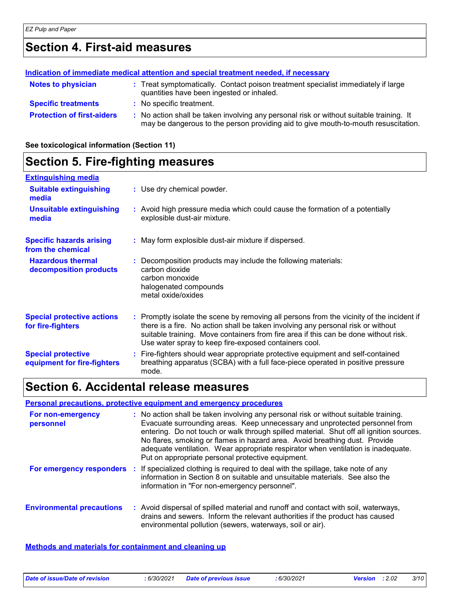### **Section 4. First-aid measures**

### **Protection of first-aiders :** No action shall be taken involving any personal risk or without suitable training. It may be dangerous to the person providing aid to give mouth-to-mouth resuscitation. **Notes to physician <b>:** Treat symptomatically. Contact poison treatment specialist immediately if large quantities have been ingested or inhaled. **Specific treatments :** No specific treatment. **Indication of immediate medical attention and special treatment needed, if necessary**

**See toxicological information (Section 11)**

#### **Section 5. Fire-fighting measures :** Promptly isolate the scene by removing all persons from the vicinity of the incident if there is a fire. No action shall be taken involving any personal risk or without suitable training. Move containers from fire area if this can be done without risk. Use water spray to keep fire-exposed containers cool. **Hazardous thermal decomposition products Specific hazards arising from the chemical** Decomposition products may include the following materials: **:** carbon dioxide carbon monoxide halogenated compounds metal oxide/oxides May form explosible dust-air mixture if dispersed. **:** Fire-fighters should wear appropriate protective equipment and self-contained **:** breathing apparatus (SCBA) with a full face-piece operated in positive pressure mode. **Special protective equipment for fire-fighters** Use dry chemical powder. **: Extinguishing media** Avoid high pressure media which could cause the formation of a potentially **:** explosible dust-air mixture. **Suitable extinguishing media Unsuitable extinguishing media Special protective actions for fire-fighters**

### **Section 6. Accidental release measures**

#### **Personal precautions, protective equipment and emergency procedures**

| <b>For non-emergency</b><br>personnel | : No action shall be taken involving any personal risk or without suitable training.<br>Evacuate surrounding areas. Keep unnecessary and unprotected personnel from<br>entering. Do not touch or walk through spilled material. Shut off all ignition sources.<br>No flares, smoking or flames in hazard area. Avoid breathing dust. Provide<br>adequate ventilation. Wear appropriate respirator when ventilation is inadequate.<br>Put on appropriate personal protective equipment. |
|---------------------------------------|----------------------------------------------------------------------------------------------------------------------------------------------------------------------------------------------------------------------------------------------------------------------------------------------------------------------------------------------------------------------------------------------------------------------------------------------------------------------------------------|
| For emergency responders              | : If specialized clothing is required to deal with the spillage, take note of any<br>information in Section 8 on suitable and unsuitable materials. See also the<br>information in "For non-emergency personnel".                                                                                                                                                                                                                                                                      |
| <b>Environmental precautions</b>      | : Avoid dispersal of spilled material and runoff and contact with soil, waterways,<br>drains and sewers. Inform the relevant authorities if the product has caused<br>environmental pollution (sewers, waterways, soil or air).                                                                                                                                                                                                                                                        |

#### **Methods and materials for containment and cleaning up**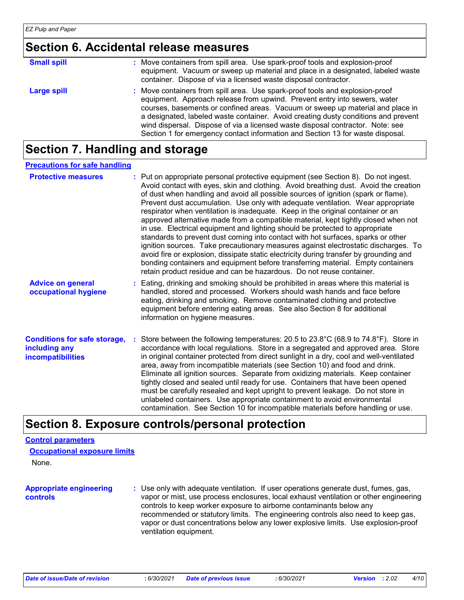### **Section 6. Accidental release measures**

| <b>Small spill</b> | : Move containers from spill area. Use spark-proof tools and explosion-proof<br>equipment. Vacuum or sweep up material and place in a designated, labeled waste<br>container. Dispose of via a licensed waste disposal contractor.                                                                                                                                                                                                                                                                    |
|--------------------|-------------------------------------------------------------------------------------------------------------------------------------------------------------------------------------------------------------------------------------------------------------------------------------------------------------------------------------------------------------------------------------------------------------------------------------------------------------------------------------------------------|
| <b>Large spill</b> | : Move containers from spill area. Use spark-proof tools and explosion-proof<br>equipment. Approach release from upwind. Prevent entry into sewers, water<br>courses, basements or confined areas. Vacuum or sweep up material and place in<br>a designated, labeled waste container. Avoid creating dusty conditions and prevent<br>wind dispersal. Dispose of via a licensed waste disposal contractor. Note: see<br>Section 1 for emergency contact information and Section 13 for waste disposal. |

### **Section 7. Handling and storage**

#### **Precautions for safe handling**

| <b>Protective measures</b>                                                | : Put on appropriate personal protective equipment (see Section 8). Do not ingest.<br>Avoid contact with eyes, skin and clothing. Avoid breathing dust. Avoid the creation<br>of dust when handling and avoid all possible sources of ignition (spark or flame).<br>Prevent dust accumulation. Use only with adequate ventilation. Wear appropriate<br>respirator when ventilation is inadequate. Keep in the original container or an<br>approved alternative made from a compatible material, kept tightly closed when not<br>in use. Electrical equipment and lighting should be protected to appropriate<br>standards to prevent dust coming into contact with hot surfaces, sparks or other<br>ignition sources. Take precautionary measures against electrostatic discharges. To<br>avoid fire or explosion, dissipate static electricity during transfer by grounding and<br>bonding containers and equipment before transferring material. Empty containers<br>retain product residue and can be hazardous. Do not reuse container. |  |
|---------------------------------------------------------------------------|---------------------------------------------------------------------------------------------------------------------------------------------------------------------------------------------------------------------------------------------------------------------------------------------------------------------------------------------------------------------------------------------------------------------------------------------------------------------------------------------------------------------------------------------------------------------------------------------------------------------------------------------------------------------------------------------------------------------------------------------------------------------------------------------------------------------------------------------------------------------------------------------------------------------------------------------------------------------------------------------------------------------------------------------|--|
| <b>Advice on general</b><br>occupational hygiene                          | : Eating, drinking and smoking should be prohibited in areas where this material is<br>handled, stored and processed. Workers should wash hands and face before<br>eating, drinking and smoking. Remove contaminated clothing and protective<br>equipment before entering eating areas. See also Section 8 for additional<br>information on hygiene measures.                                                                                                                                                                                                                                                                                                                                                                                                                                                                                                                                                                                                                                                                               |  |
| <b>Conditions for safe storage,</b><br>including any<br>incompatibilities | Store between the following temperatures: 20.5 to 23.8 $^{\circ}$ C (68.9 to 74.8 $^{\circ}$ F). Store in<br>accordance with local regulations. Store in a segregated and approved area. Store<br>in original container protected from direct sunlight in a dry, cool and well-ventilated<br>area, away from incompatible materials (see Section 10) and food and drink.<br>Eliminate all ignition sources. Separate from oxidizing materials. Keep container<br>tightly closed and sealed until ready for use. Containers that have been opened<br>must be carefully resealed and kept upright to prevent leakage. Do not store in<br>unlabeled containers. Use appropriate containment to avoid environmental<br>contamination. See Section 10 for incompatible materials before handling or use.                                                                                                                                                                                                                                         |  |

### **Section 8. Exposure controls/personal protection**

### **Control parameters**

|  | <b>Occupational exposure limits</b> |  |  |  |
|--|-------------------------------------|--|--|--|
|--|-------------------------------------|--|--|--|

None.

```
Appropriate engineering 
controls
```
**:** Use only with adequate ventilation. If user operations generate dust, fumes, gas, vapor or mist, use process enclosures, local exhaust ventilation or other engineering controls to keep worker exposure to airborne contaminants below any recommended or statutory limits. The engineering controls also need to keep gas, vapor or dust concentrations below any lower explosive limits. Use explosion-proof ventilation equipment.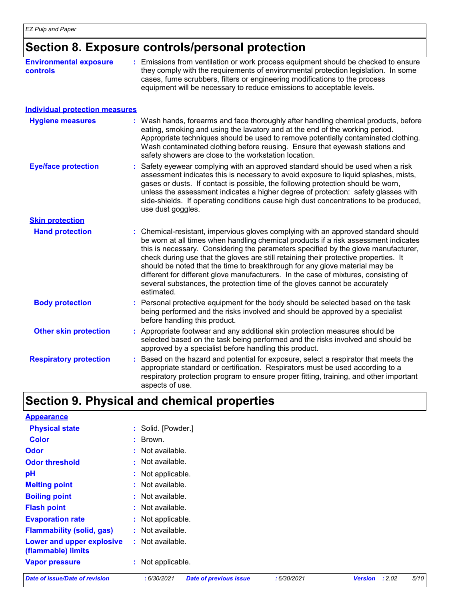### **Section 8. Exposure controls/personal protection**

| <b>Environmental exposure</b><br><b>controls</b> | : Emissions from ventilation or work process equipment should be checked to ensure<br>they comply with the requirements of environmental protection legislation. In some<br>cases, fume scrubbers, filters or engineering modifications to the process<br>equipment will be necessary to reduce emissions to acceptable levels.                                                                                                                                                                                                                                                                                         |
|--------------------------------------------------|-------------------------------------------------------------------------------------------------------------------------------------------------------------------------------------------------------------------------------------------------------------------------------------------------------------------------------------------------------------------------------------------------------------------------------------------------------------------------------------------------------------------------------------------------------------------------------------------------------------------------|
| <b>Individual protection measures</b>            |                                                                                                                                                                                                                                                                                                                                                                                                                                                                                                                                                                                                                         |
| <b>Hygiene measures</b>                          | : Wash hands, forearms and face thoroughly after handling chemical products, before<br>eating, smoking and using the lavatory and at the end of the working period.<br>Appropriate techniques should be used to remove potentially contaminated clothing.<br>Wash contaminated clothing before reusing. Ensure that eyewash stations and<br>safety showers are close to the workstation location.                                                                                                                                                                                                                       |
| <b>Eye/face protection</b>                       | Safety eyewear complying with an approved standard should be used when a risk<br>assessment indicates this is necessary to avoid exposure to liquid splashes, mists,<br>gases or dusts. If contact is possible, the following protection should be worn,<br>unless the assessment indicates a higher degree of protection: safety glasses with<br>side-shields. If operating conditions cause high dust concentrations to be produced,<br>use dust goggles.                                                                                                                                                             |
| <b>Skin protection</b>                           |                                                                                                                                                                                                                                                                                                                                                                                                                                                                                                                                                                                                                         |
| <b>Hand protection</b>                           | Chemical-resistant, impervious gloves complying with an approved standard should<br>be worn at all times when handling chemical products if a risk assessment indicates<br>this is necessary. Considering the parameters specified by the glove manufacturer,<br>check during use that the gloves are still retaining their protective properties. It<br>should be noted that the time to breakthrough for any glove material may be<br>different for different glove manufacturers. In the case of mixtures, consisting of<br>several substances, the protection time of the gloves cannot be accurately<br>estimated. |
| <b>Body protection</b>                           | : Personal protective equipment for the body should be selected based on the task<br>being performed and the risks involved and should be approved by a specialist<br>before handling this product.                                                                                                                                                                                                                                                                                                                                                                                                                     |
| <b>Other skin protection</b>                     | : Appropriate footwear and any additional skin protection measures should be<br>selected based on the task being performed and the risks involved and should be<br>approved by a specialist before handling this product.                                                                                                                                                                                                                                                                                                                                                                                               |
| <b>Respiratory protection</b>                    | Based on the hazard and potential for exposure, select a respirator that meets the<br>appropriate standard or certification. Respirators must be used according to a<br>respiratory protection program to ensure proper fitting, training, and other important<br>aspects of use.                                                                                                                                                                                                                                                                                                                                       |

### **Section 9. Physical and chemical properties**

| <b>Appearance</b>                               |                    |
|-------------------------------------------------|--------------------|
| <b>Physical state</b>                           | : Solid. [Powder.] |
| <b>Color</b>                                    | : Brown.           |
| <b>Odor</b>                                     | : Not available.   |
| <b>Odor threshold</b>                           | : Not available.   |
| pH                                              | : Not applicable.  |
| <b>Melting point</b>                            | : Not available.   |
| <b>Boiling point</b>                            | $:$ Not available. |
| <b>Flash point</b>                              | $:$ Not available. |
| <b>Evaporation rate</b>                         | : Not applicable.  |
| <b>Flammability (solid, gas)</b>                | : Not available.   |
| Lower and upper explosive<br>(flammable) limits | $:$ Not available. |
| <b>Vapor pressure</b>                           | : Not applicable.  |

*Date of issue/Date of revision* **:** *6/30/2021 Date of previous issue : 6/30/2021 Version : 2.02 5/10*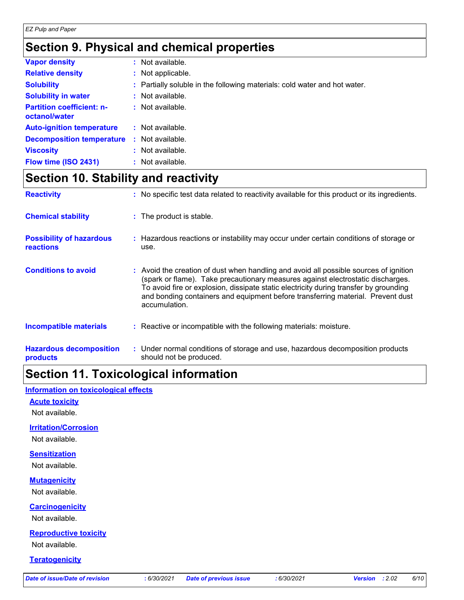# **Section 9. Physical and chemical properties**

| <b>Vapor density</b>                              | : Not available.                                                          |
|---------------------------------------------------|---------------------------------------------------------------------------|
| <b>Relative density</b>                           | : Not applicable.                                                         |
| <b>Solubility</b>                                 | : Partially soluble in the following materials: cold water and hot water. |
| <b>Solubility in water</b>                        | : Not available.                                                          |
| <b>Partition coefficient: n-</b><br>octanol/water | $:$ Not available.                                                        |
| <b>Auto-ignition temperature</b>                  | $:$ Not available.                                                        |
| <b>Decomposition temperature</b>                  | : Not available.                                                          |
| <b>Viscosity</b>                                  | : Not available.                                                          |
| Flow time (ISO 2431)                              | : Not available.                                                          |

### **Section 10. Stability and reactivity**

| <b>Reactivity</b>                                   | : No specific test data related to reactivity available for this product or its ingredients.                                                                                                                                                                                                                                                                          |
|-----------------------------------------------------|-----------------------------------------------------------------------------------------------------------------------------------------------------------------------------------------------------------------------------------------------------------------------------------------------------------------------------------------------------------------------|
| <b>Chemical stability</b>                           | : The product is stable.                                                                                                                                                                                                                                                                                                                                              |
| <b>Possibility of hazardous</b><br><b>reactions</b> | : Hazardous reactions or instability may occur under certain conditions of storage or<br>use.                                                                                                                                                                                                                                                                         |
| <b>Conditions to avoid</b>                          | : Avoid the creation of dust when handling and avoid all possible sources of ignition<br>(spark or flame). Take precautionary measures against electrostatic discharges.<br>To avoid fire or explosion, dissipate static electricity during transfer by grounding<br>and bonding containers and equipment before transferring material. Prevent dust<br>accumulation. |
| <b>Incompatible materials</b>                       | : Reactive or incompatible with the following materials: moisture.                                                                                                                                                                                                                                                                                                    |
| <b>Hazardous decomposition</b><br>products          | : Under normal conditions of storage and use, hazardous decomposition products<br>should not be produced.                                                                                                                                                                                                                                                             |

# **Section 11. Toxicological information**

#### **Information on toxicological effects**

#### **Acute toxicity**

Not available.

#### **Irritation/Corrosion**

Not available.

### **Sensitization**

Not available.

### **Mutagenicity**

Not available.

#### **Carcinogenicity**

Not available.

### **Reproductive toxicity**

Not available.

### **Teratogenicity**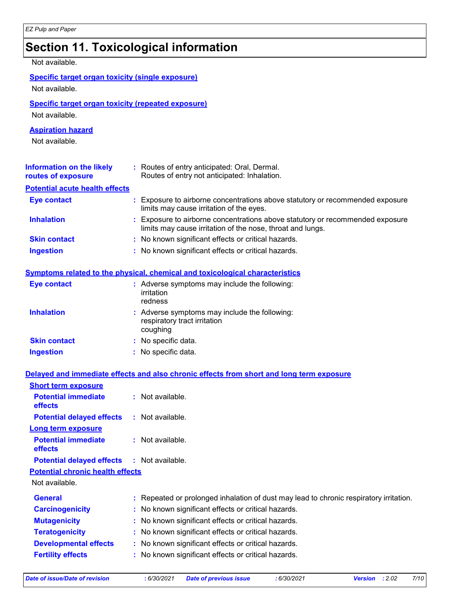### **Section 11. Toxicological information**

### Not available.

### **Specific target organ toxicity (single exposure)**

Not available.

### **Specific target organ toxicity (repeated exposure)**

Not available.

#### **Aspiration hazard**

Not available.

| Information on the likely<br>routes of exposure | : Routes of entry anticipated: Oral, Dermal.<br>Routes of entry not anticipated: Inhalation.                                                |
|-------------------------------------------------|---------------------------------------------------------------------------------------------------------------------------------------------|
| <b>Potential acute health effects</b>           |                                                                                                                                             |
| <b>Eye contact</b>                              | : Exposure to airborne concentrations above statutory or recommended exposure<br>limits may cause irritation of the eyes.                   |
| <b>Inhalation</b>                               | : Exposure to airborne concentrations above statutory or recommended exposure<br>limits may cause irritation of the nose, throat and lungs. |
| <b>Skin contact</b>                             | : No known significant effects or critical hazards.                                                                                         |
| <b>Ingestion</b>                                | : No known significant effects or critical hazards.                                                                                         |

#### **Symptoms related to the physical, chemical and toxicological characteristics**

| <b>Eye contact</b>  | : Adverse symptoms may include the following:<br>irritation<br>redness                    |
|---------------------|-------------------------------------------------------------------------------------------|
| <b>Inhalation</b>   | : Adverse symptoms may include the following:<br>respiratory tract irritation<br>coughing |
| <b>Skin contact</b> | : No specific data.                                                                       |
| <b>Ingestion</b>    | : No specific data.                                                                       |

#### **Delayed and immediate effects and also chronic effects from short and long term exposure**

| <b>Short term exposure</b>                        |                                                                                        |
|---------------------------------------------------|----------------------------------------------------------------------------------------|
| <b>Potential immediate</b><br><b>effects</b>      | $:$ Not available.                                                                     |
| <b>Potential delayed effects</b>                  | : Not available.                                                                       |
| <b>Long term exposure</b>                         |                                                                                        |
| <b>Potential immediate</b><br><b>effects</b>      | $:$ Not available.                                                                     |
| <b>Potential delayed effects : Not available.</b> |                                                                                        |
| <b>Potential chronic health effects</b>           |                                                                                        |
| Not available.                                    |                                                                                        |
| <b>General</b>                                    | : Repeated or prolonged inhalation of dust may lead to chronic respiratory irritation. |
| <b>Carcinogenicity</b>                            | : No known significant effects or critical hazards.                                    |
| <b>Mutagenicity</b>                               | : No known significant effects or critical hazards.                                    |
| <b>Teratogenicity</b>                             | : No known significant effects or critical hazards.                                    |
| <b>Developmental effects</b>                      | : No known significant effects or critical hazards.                                    |
| <b>Fertility effects</b>                          | : No known significant effects or critical hazards.                                    |
|                                                   |                                                                                        |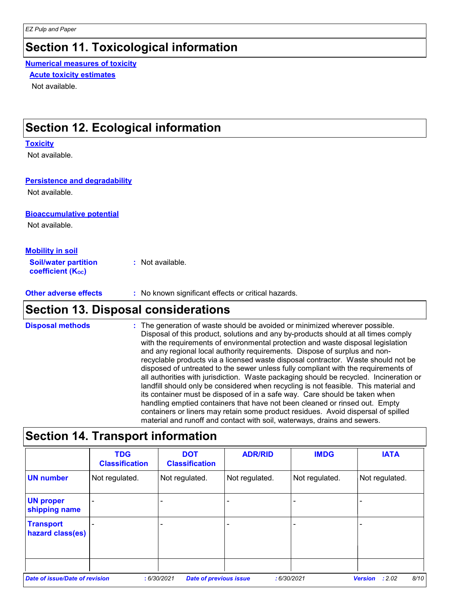### **Section 11. Toxicological information**

**Numerical measures of toxicity**

**Acute toxicity estimates**

Not available.

### **Section 12. Ecological information**

#### **Toxicity**

Not available.

#### **Persistence and degradability**

Not available.

#### **Bioaccumulative potential**

Not available.

### **Mobility in soil**

**Soil/water partition coefficient (KOC) :** Not available.

**Other adverse effects** : No known significant effects or critical hazards.

### **Section 13. Disposal considerations**

**Disposal methods :**

The generation of waste should be avoided or minimized wherever possible. Disposal of this product, solutions and any by-products should at all times comply with the requirements of environmental protection and waste disposal legislation and any regional local authority requirements. Dispose of surplus and nonrecyclable products via a licensed waste disposal contractor. Waste should not be disposed of untreated to the sewer unless fully compliant with the requirements of all authorities with jurisdiction. Waste packaging should be recycled. Incineration or landfill should only be considered when recycling is not feasible. This material and its container must be disposed of in a safe way. Care should be taken when handling emptied containers that have not been cleaned or rinsed out. Empty containers or liners may retain some product residues. Avoid dispersal of spilled material and runoff and contact with soil, waterways, drains and sewers.

### **Section 14. Transport information**

|                                       | <b>TDG</b><br><b>Classification</b> | <b>DOT</b><br><b>Classification</b>         | <b>ADR/RID</b> | <b>IMDG</b>    | <b>IATA</b>                      |
|---------------------------------------|-------------------------------------|---------------------------------------------|----------------|----------------|----------------------------------|
| <b>UN number</b>                      | Not regulated.                      | Not regulated.                              | Not regulated. | Not regulated. | Not regulated.                   |
| <b>UN proper</b><br>shipping name     |                                     |                                             |                |                |                                  |
| <b>Transport</b><br>hazard class(es)  |                                     |                                             |                |                |                                  |
| <b>Date of issue/Date of revision</b> |                                     | :6/30/2021<br><b>Date of previous issue</b> |                | :6/30/2021     | 8/10<br>: 2.02<br><b>Version</b> |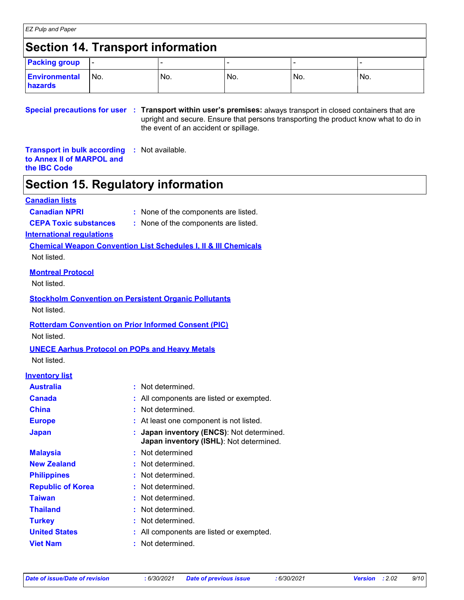# **Section 14. Transport information**

| <b>Packing group</b>            | <b>.</b> |     |     |     |     |
|---------------------------------|----------|-----|-----|-----|-----|
| <b>Environmental</b><br>hazards | No.      | No. | No. | No. | No. |

**Special precautions for user Transport within user's premises:** always transport in closed containers that are **:** upright and secure. Ensure that persons transporting the product know what to do in the event of an accident or spillage.

**Transport in bulk according :** Not available. **to Annex II of MARPOL and the IBC Code**

# **Section 15. Regulatory information**

### **Canadian lists**

- **Canadian NPRI :** None of the components are listed.
- **CEPA Toxic substances :** None of the components are listed.

### **International regulations**

**Chemical Weapon Convention List Schedules I, II & III Chemicals** Not listed.

### **Montreal Protocol**

Not listed.

# **Stockholm Convention on Persistent Organic Pollutants**

Not listed.

### **Rotterdam Convention on Prior Informed Consent (PIC)**

Not listed.

# **UNECE Aarhus Protocol on POPs and Heavy Metals**

Not listed.

### **Inventory list**

| <b>Australia</b>         | : Not determined.                                                                    |
|--------------------------|--------------------------------------------------------------------------------------|
| <b>Canada</b>            | : All components are listed or exempted.                                             |
| <b>China</b>             | Not determined.                                                                      |
| <b>Europe</b>            | : At least one component is not listed.                                              |
| <b>Japan</b>             | : Japan inventory (ENCS): Not determined.<br>Japan inventory (ISHL): Not determined. |
| <b>Malaysia</b>          | : Not determined                                                                     |
| <b>New Zealand</b>       | : Not determined.                                                                    |
| <b>Philippines</b>       | : Not determined.                                                                    |
| <b>Republic of Korea</b> | : Not determined.                                                                    |
| Taiwan                   | : Not determined.                                                                    |
| <b>Thailand</b>          | Not determined.                                                                      |
| <b>Turkey</b>            | : Not determined.                                                                    |
| <b>United States</b>     | All components are listed or exempted.                                               |
| <b>Viet Nam</b>          | Not determined.                                                                      |